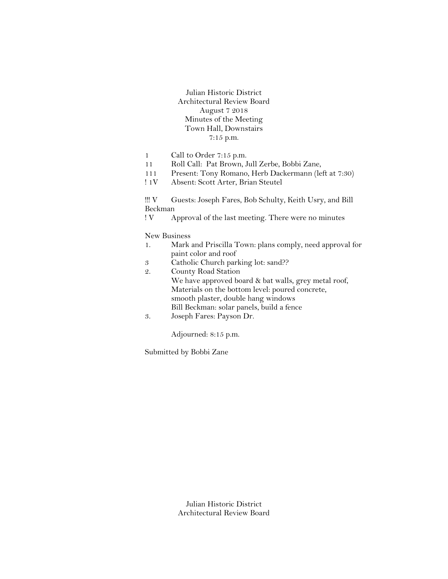Julian Historic District Architectural Review Board August 7 2018 Minutes of the Meeting Town Hall, Downstairs 7:15 p.m.

- 1 Call to Order 7:15 p.m.
- 11 Roll Call: Pat Brown, Jull Zerbe, Bobbi Zane,
- 111 Present: Tony Romano, Herb Dackermann (left at 7:30)
- ! 1V Absent: Scott Arter, Brian Steutel

!!! V Guests: Joseph Fares, Bob Schulty, Keith Usry, and Bill Beckman

! V Approval of the last meeting. There were no minutes

New Business

- 1. Mark and Priscilla Town: plans comply, need approval for paint color and roof
- 3 Catholic Church parking lot: sand??
- 2. County Road Station We have approved board & bat walls, grey metal roof, Materials on the bottom level: poured concrete, smooth plaster, double hang windows Bill Beckman: solar panels, build a fence
- 3. Joseph Fares: Payson Dr.

Adjourned: 8:15 p.m.

Submitted by Bobbi Zane